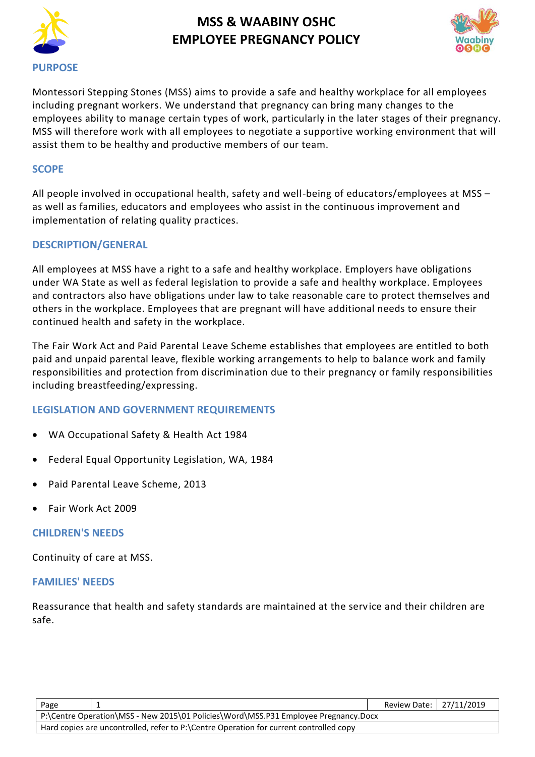



Montessori Stepping Stones (MSS) aims to provide a safe and healthy workplace for all employees including pregnant workers. We understand that pregnancy can bring many changes to the employees ability to manage certain types of work, particularly in the later stages of their pregnancy. MSS will therefore work with all employees to negotiate a supportive working environment that will assist them to be healthy and productive members of our team.

#### **SCOPE**

All people involved in occupational health, safety and well-being of educators/employees at MSS – as well as families, educators and employees who assist in the continuous improvement and implementation of relating quality practices.

### **DESCRIPTION/GENERAL**

All employees at MSS have a right to a safe and healthy workplace. Employers have obligations under WA State as well as federal legislation to provide a safe and healthy workplace. Employees and contractors also have obligations under law to take reasonable care to protect themselves and others in the workplace. Employees that are pregnant will have additional needs to ensure their continued health and safety in the workplace.

The Fair Work Act and Paid Parental Leave Scheme establishes that employees are entitled to both paid and unpaid parental leave, flexible working arrangements to help to balance work and family responsibilities and protection from discrimination due to their pregnancy or family responsibilities including breastfeeding/expressing.

### **LEGISLATION AND GOVERNMENT REQUIREMENTS**

- WA Occupational Safety & Health Act 1984
- Federal Equal Opportunity Legislation, WA, 1984
- Paid Parental Leave Scheme, 2013
- Fair Work Act 2009

#### **CHILDREN'S NEEDS**

Continuity of care at MSS.

#### **FAMILIES' NEEDS**

Reassurance that health and safety standards are maintained at the service and their children are safe.

| Page                                                                                   |  |  | Review Date:   27/11/2019 |  |  |
|----------------------------------------------------------------------------------------|--|--|---------------------------|--|--|
| P:\Centre Operation\MSS - New 2015\01 Policies\Word\MSS.P31 Employee Pregnancy.Docx    |  |  |                           |  |  |
| Hard copies are uncontrolled, refer to P:\Centre Operation for current controlled copy |  |  |                           |  |  |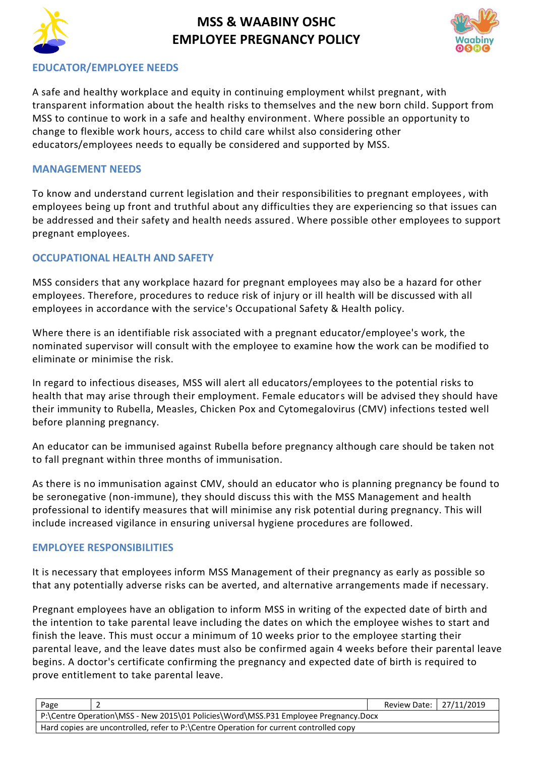



### **EDUCATOR/EMPLOYEE NEEDS**

A safe and healthy workplace and equity in continuing employment whilst pregnant, with transparent information about the health risks to themselves and the new born child. Support from MSS to continue to work in a safe and healthy environment. Where possible an opportunity to change to flexible work hours, access to child care whilst also considering other educators/employees needs to equally be considered and supported by MSS.

### **MANAGEMENT NEEDS**

To know and understand current legislation and their responsibilities to pregnant employees, with employees being up front and truthful about any difficulties they are experiencing so that issues can be addressed and their safety and health needs assured. Where possible other employees to support pregnant employees.

### **OCCUPATIONAL HEALTH AND SAFETY**

MSS considers that any workplace hazard for pregnant employees may also be a hazard for other employees. Therefore, procedures to reduce risk of injury or ill health will be discussed with all employees in accordance with the service's Occupational Safety & Health policy.

Where there is an identifiable risk associated with a pregnant educator/employee's work, the nominated supervisor will consult with the employee to examine how the work can be modified to eliminate or minimise the risk.

In regard to infectious diseases, MSS will alert all educators/employees to the potential risks to health that may arise through their employment. Female educators will be advised they should have their immunity to Rubella, Measles, Chicken Pox and Cytomegalovirus (CMV) infections tested well before planning pregnancy.

An educator can be immunised against Rubella before pregnancy although care should be taken not to fall pregnant within three months of immunisation.

As there is no immunisation against CMV, should an educator who is planning pregnancy be found to be seronegative (non-immune), they should discuss this with the MSS Management and health professional to identify measures that will minimise any risk potential during pregnancy. This will include increased vigilance in ensuring universal hygiene procedures are followed.

#### **EMPLOYEE RESPONSIBILITIES**

It is necessary that employees inform MSS Management of their pregnancy as early as possible so that any potentially adverse risks can be averted, and alternative arrangements made if necessary.

Pregnant employees have an obligation to inform MSS in writing of the expected date of birth and the intention to take parental leave including the dates on which the employee wishes to start and finish the leave. This must occur a minimum of 10 weeks prior to the employee starting their parental leave, and the leave dates must also be confirmed again 4 weeks before their parental leave begins. A doctor's certificate confirming the pregnancy and expected date of birth is required to prove entitlement to take parental leave.

| Page                                                                                   |  | Review Date: 27/11/2019 |  |  |  |
|----------------------------------------------------------------------------------------|--|-------------------------|--|--|--|
| P:\Centre Operation\MSS - New 2015\01 Policies\Word\MSS.P31 Employee Pregnancy.Docx    |  |                         |  |  |  |
| Hard copies are uncontrolled, refer to P:\Centre Operation for current controlled copy |  |                         |  |  |  |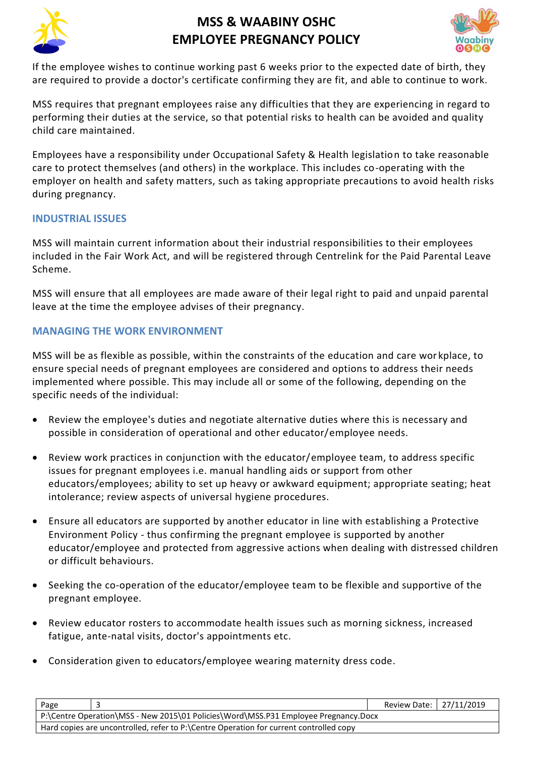



If the employee wishes to continue working past 6 weeks prior to the expected date of birth, they are required to provide a doctor's certificate confirming they are fit, and able to continue to work.

MSS requires that pregnant employees raise any difficulties that they are experiencing in regard to performing their duties at the service, so that potential risks to health can be avoided and quality child care maintained.

Employees have a responsibility under Occupational Safety & Health legislation to take reasonable care to protect themselves (and others) in the workplace. This includes co-operating with the employer on health and safety matters, such as taking appropriate precautions to avoid health risks during pregnancy.

## **INDUSTRIAL ISSUES**

MSS will maintain current information about their industrial responsibilities to their employees included in the Fair Work Act, and will be registered through Centrelink for the Paid Parental Leave Scheme.

MSS will ensure that all employees are made aware of their legal right to paid and unpaid parental leave at the time the employee advises of their pregnancy.

### **MANAGING THE WORK ENVIRONMENT**

MSS will be as flexible as possible, within the constraints of the education and care wor kplace, to ensure special needs of pregnant employees are considered and options to address their needs implemented where possible. This may include all or some of the following, depending on the specific needs of the individual:

- Review the employee's duties and negotiate alternative duties where this is necessary and possible in consideration of operational and other educator/employee needs.
- Review work practices in conjunction with the educator/employee team, to address specific issues for pregnant employees i.e. manual handling aids or support from other educators/employees; ability to set up heavy or awkward equipment; appropriate seating; heat intolerance; review aspects of universal hygiene procedures.
- Ensure all educators are supported by another educator in line with establishing a Protective Environment Policy - thus confirming the pregnant employee is supported by another educator/employee and protected from aggressive actions when dealing with distressed children or difficult behaviours.
- Seeking the co-operation of the educator/employee team to be flexible and supportive of the pregnant employee.
- Review educator rosters to accommodate health issues such as morning sickness, increased fatigue, ante-natal visits, doctor's appointments etc.
- Consideration given to educators/employee wearing maternity dress code.

| Page                                                                                   |  | Review Date: 27/11/2019 |  |  |  |
|----------------------------------------------------------------------------------------|--|-------------------------|--|--|--|
| P:\Centre Operation\MSS - New 2015\01 Policies\Word\MSS.P31 Employee Pregnancy.Docx    |  |                         |  |  |  |
| Hard copies are uncontrolled, refer to P:\Centre Operation for current controlled copy |  |                         |  |  |  |